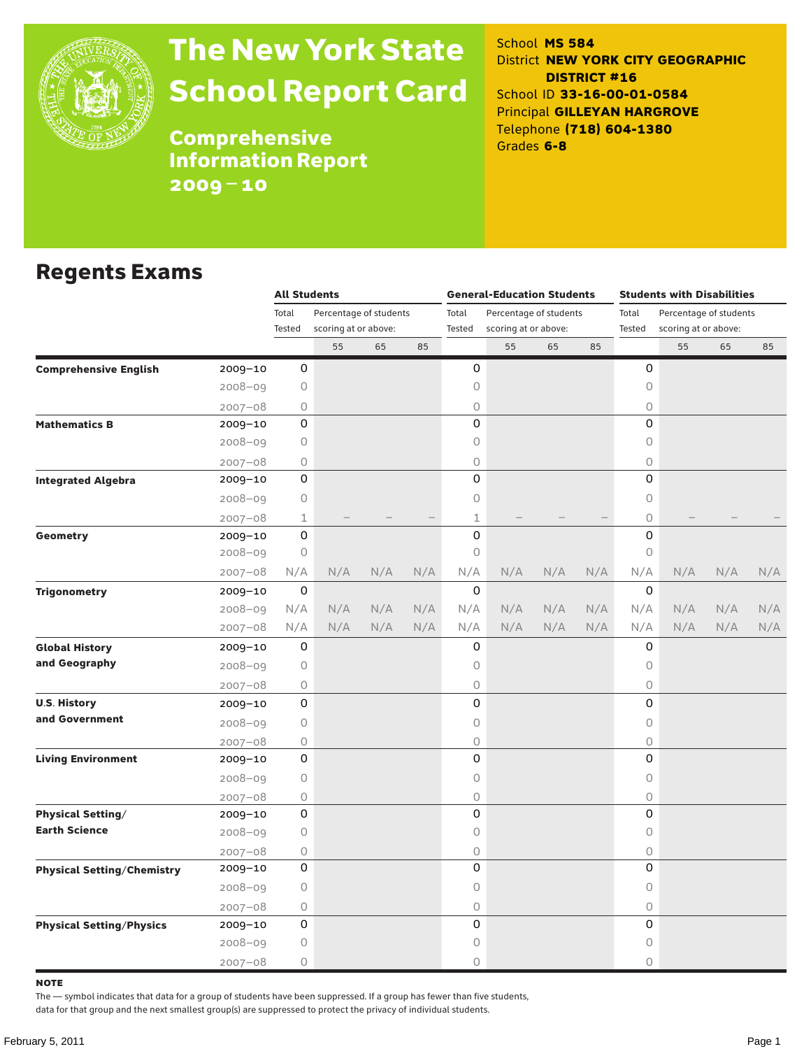

# The New York State School Report Card

School **MS 584** District **NEW YORK CITY GEOGRAPHIC DISTRICT #16** School ID **33-16-00-01-0584** Principal **GILLEYAN HARGROVE** Telephone **(718) 604-1380** Grades **6-8**

**Comprehensive** Information Report 2009–10

### Regents Exams

|                                   |                                                                                                                         | <b>All Students</b>             |                      |     |       | <b>General-Education Students</b> |                      |     | <b>Students with Disabilities</b> |                                                |     |     |     |        |
|-----------------------------------|-------------------------------------------------------------------------------------------------------------------------|---------------------------------|----------------------|-----|-------|-----------------------------------|----------------------|-----|-----------------------------------|------------------------------------------------|-----|-----|-----|--------|
|                                   |                                                                                                                         | Total<br>Percentage of students |                      |     | Total | Percentage of students            |                      |     | Total                             | Percentage of students<br>scoring at or above: |     |     |     |        |
|                                   |                                                                                                                         | Tested                          | scoring at or above: |     |       | Tested                            | scoring at or above: |     |                                   |                                                |     |     |     | Tested |
|                                   |                                                                                                                         |                                 | 55                   | 65  | 85    |                                   | 55                   | 65  | 85                                |                                                | 55  | 65  | 85  |        |
| <b>Comprehensive English</b>      | 2009-10                                                                                                                 | 0                               |                      |     |       | $\mathsf O$                       |                      |     |                                   | 0                                              |     |     |     |        |
|                                   | 2008-09                                                                                                                 | $\circ$                         |                      |     |       | 0                                 |                      |     |                                   | $\mathsf O$                                    |     |     |     |        |
|                                   | $2007 - 08$                                                                                                             | 0                               |                      |     |       | 0                                 |                      |     |                                   | 0                                              |     |     |     |        |
| <b>Mathematics B</b>              | 2009-10                                                                                                                 | 0                               |                      |     |       | $\Omega$                          |                      |     |                                   | $\Omega$                                       |     |     |     |        |
|                                   | 2008-09                                                                                                                 | $\circ$                         |                      |     |       | 0                                 |                      |     |                                   | $\mathsf O$                                    |     |     |     |        |
|                                   | $2007 - 08$                                                                                                             | 0                               |                      |     |       | 0                                 |                      |     |                                   | $\circ$                                        |     |     |     |        |
| <b>Integrated Algebra</b>         | $2009 - 10$                                                                                                             | 0                               |                      |     |       | 0                                 |                      |     |                                   | $\Omega$                                       |     |     |     |        |
|                                   | $2008 - 09$                                                                                                             | 0                               |                      |     |       | 0                                 |                      |     |                                   | $\circ$                                        |     |     |     |        |
|                                   |                                                                                                                         | 1                               |                      |     |       | 1                                 |                      |     |                                   | $\circ$                                        |     |     |     |        |
| Geometry                          | $2009 - 10$                                                                                                             | $\mathsf 0$                     |                      |     |       | $\mathsf 0$                       |                      |     |                                   | 0                                              |     |     |     |        |
|                                   | $2008 - 09$                                                                                                             | $\circ$                         |                      |     |       | $\circ$                           |                      |     |                                   | $\mathsf O$                                    |     |     |     |        |
|                                   | $2007 - 08$<br>$2007 - 08$<br>$2009 - 10$<br>$2008 - 09$<br>$2007 - 08$<br>2009-10<br>2008-09<br>$2007 - 08$<br>2009-10 | N/A                             | N/A                  | N/A | N/A   | N/A                               | N/A                  | N/A | N/A                               | N/A                                            | N/A | N/A | N/A |        |
| <b>Trigonometry</b>               |                                                                                                                         | $\mathsf 0$                     |                      |     |       | $\mathbf 0$                       |                      |     |                                   | 0                                              |     |     |     |        |
|                                   |                                                                                                                         | N/A                             | N/A                  | N/A | N/A   | N/A                               | N/A                  | N/A | N/A                               | N/A                                            | N/A | N/A | N/A |        |
|                                   |                                                                                                                         | N/A                             | N/A                  | N/A | N/A   | N/A                               | N/A                  | N/A | N/A                               | N/A                                            | N/A | N/A | N/A |        |
| <b>Global History</b>             |                                                                                                                         | 0                               |                      |     |       | 0                                 |                      |     |                                   | 0                                              |     |     |     |        |
| and Geography                     |                                                                                                                         | 0                               |                      |     |       | 0                                 |                      |     |                                   | $\circ$                                        |     |     |     |        |
|                                   |                                                                                                                         | 0                               |                      |     |       | 0                                 |                      |     |                                   | $\circ$                                        |     |     |     |        |
| <b>U.S. History</b>               |                                                                                                                         | 0                               |                      |     |       | 0                                 |                      |     |                                   | 0                                              |     |     |     |        |
| and Government                    | $2008 - 09$                                                                                                             | $\circ$                         |                      |     |       | 0                                 |                      |     |                                   | $\mathsf O$                                    |     |     |     |        |
|                                   | $2007 - 08$                                                                                                             | $\circ$                         |                      |     |       | 0                                 |                      |     |                                   | $\circ$                                        |     |     |     |        |
| <b>Living Environment</b>         | 2009-10                                                                                                                 | 0                               |                      |     |       | 0                                 |                      |     |                                   | 0                                              |     |     |     |        |
|                                   | $2008 - 09$                                                                                                             | $\circ$                         |                      |     |       | 0                                 |                      |     |                                   | $\mathsf O$                                    |     |     |     |        |
|                                   | $2007 - 08$                                                                                                             | $\circ$                         |                      |     |       | 0                                 |                      |     |                                   | $\circ$                                        |     |     |     |        |
| <b>Physical Setting/</b>          | 2009-10                                                                                                                 | 0                               |                      |     |       | 0                                 |                      |     |                                   | 0                                              |     |     |     |        |
| <b>Earth Science</b>              | $2008 - 09$                                                                                                             | $\circ$                         |                      |     |       | 0                                 |                      |     |                                   | $\mathsf O$                                    |     |     |     |        |
|                                   | $2007 - 08$                                                                                                             | 0                               |                      |     |       | 0                                 |                      |     |                                   | $\mathsf O$                                    |     |     |     |        |
| <b>Physical Setting/Chemistry</b> | 2009-10                                                                                                                 | 0                               |                      |     |       | 0                                 |                      |     |                                   | 0                                              |     |     |     |        |
|                                   | $2008 - 09$                                                                                                             | $\circ$                         |                      |     |       | 0                                 |                      |     |                                   | $\mathsf O$                                    |     |     |     |        |
|                                   | $2007 - 08$                                                                                                             | 0                               |                      |     |       | 0                                 |                      |     |                                   | $\mathsf O$                                    |     |     |     |        |
| <b>Physical Setting/Physics</b>   | 2009-10                                                                                                                 | 0                               |                      |     |       | 0                                 |                      |     |                                   | 0                                              |     |     |     |        |
|                                   | 2008-09                                                                                                                 | $\circ$                         |                      |     |       | 0                                 |                      |     |                                   | 0                                              |     |     |     |        |
|                                   | $2007 - 08$                                                                                                             | $\circ$                         |                      |     |       | 0                                 |                      |     |                                   | $\circ$                                        |     |     |     |        |

note

The — symbol indicates that data for a group of students have been suppressed. If a group has fewer than five students,

data for that group and the next smallest group(s) are suppressed to protect the privacy of individual students.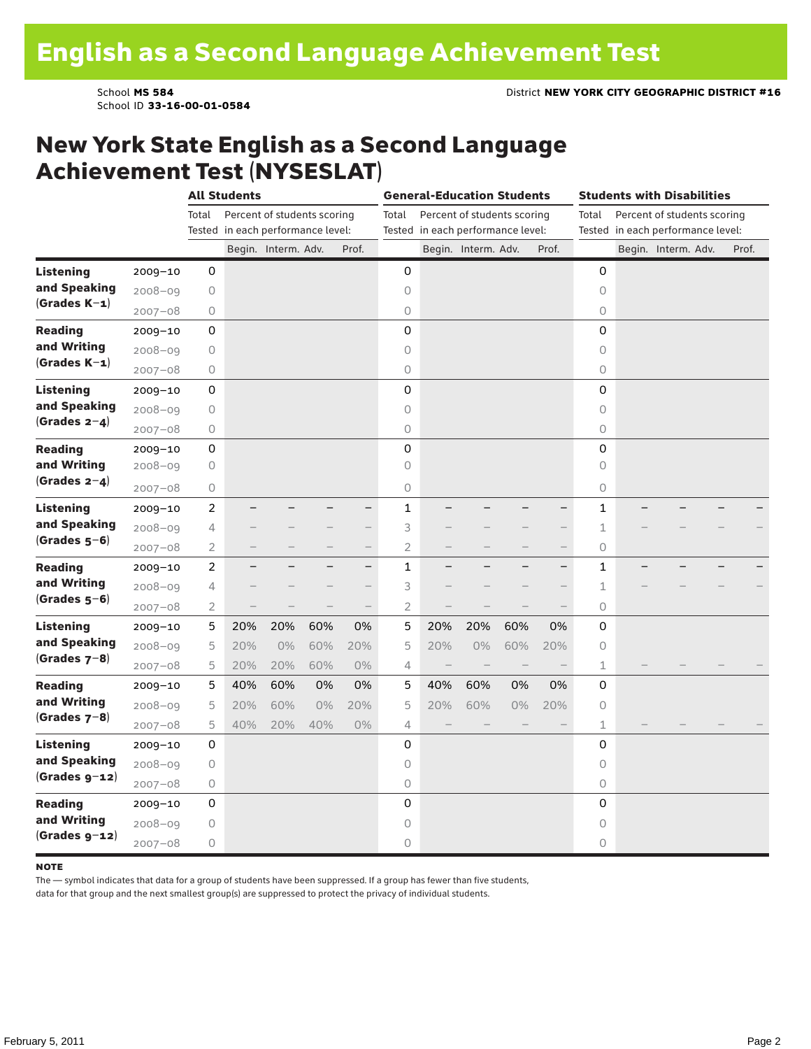School ID **33-16-00-01-0584**

### New York State English as a Second Language Achievement Test (NYSESLAT)

|                  |             |                | <b>All Students</b> |                                   |                          |                          |                |                          | <b>General-Education Students</b> |                          |                          |              | <b>Students with Disabilities</b><br>Percent of students scoring<br>Tested in each performance level:<br>Begin. Interm. Adv. |  |       |
|------------------|-------------|----------------|---------------------|-----------------------------------|--------------------------|--------------------------|----------------|--------------------------|-----------------------------------|--------------------------|--------------------------|--------------|------------------------------------------------------------------------------------------------------------------------------|--|-------|
|                  |             | Total          |                     | Percent of students scoring       |                          |                          | Total          |                          | Percent of students scoring       |                          |                          | Total        |                                                                                                                              |  |       |
|                  |             |                |                     | Tested in each performance level: |                          |                          |                |                          | Tested in each performance level: |                          |                          |              |                                                                                                                              |  |       |
|                  |             |                |                     | Begin. Interm. Adv.               |                          | Prof.                    |                |                          | Begin. Interm. Adv.               |                          | Prof.                    |              |                                                                                                                              |  | Prof. |
| <b>Listening</b> | 2009-10     | 0              |                     |                                   |                          |                          | 0              |                          |                                   |                          |                          | 0            |                                                                                                                              |  |       |
| and Speaking     | $2008 - 09$ | $\bigcirc$     |                     |                                   |                          |                          | $\circ$        |                          |                                   |                          |                          | 0            |                                                                                                                              |  |       |
| $(Grades K-1)$   | $2007 - 08$ | 0              |                     |                                   |                          |                          | $\circ$        |                          |                                   |                          |                          | 0            |                                                                                                                              |  |       |
| <b>Reading</b>   | $2009 - 10$ | 0              |                     |                                   |                          |                          | $\mathbf 0$    |                          |                                   |                          |                          | 0            |                                                                                                                              |  |       |
| and Writing      | $2008 - 09$ | 0              |                     |                                   |                          |                          | $\circ$        |                          |                                   |                          |                          | 0            |                                                                                                                              |  |       |
| $(Grades K-1)$   | $2007 - 08$ | 0              |                     |                                   |                          |                          | 0              |                          |                                   |                          |                          | 0            |                                                                                                                              |  |       |
| <b>Listening</b> | $2009 - 10$ | 0              |                     |                                   |                          |                          | $\mathsf 0$    |                          |                                   |                          |                          | 0            |                                                                                                                              |  |       |
| and Speaking     | $2008 - 09$ | 0              |                     |                                   |                          |                          | $\circ$        |                          |                                   |                          |                          | 0            |                                                                                                                              |  |       |
| $(Grades 2-4)$   | $2007 - 08$ | 0              |                     |                                   |                          |                          | 0              |                          |                                   |                          |                          | 0            |                                                                                                                              |  |       |
| <b>Reading</b>   | $2009 - 10$ | 0              |                     |                                   |                          |                          | 0              |                          |                                   |                          |                          | 0            |                                                                                                                              |  |       |
| and Writing      | $2008 - 09$ | 0              |                     |                                   |                          |                          | 0              |                          |                                   |                          |                          | 0            |                                                                                                                              |  |       |
| (Grades $2-4$ )  | $2007 - 08$ | 0              |                     |                                   |                          |                          | 0              |                          |                                   |                          |                          | 0            |                                                                                                                              |  |       |
| <b>Listening</b> | $2009 - 10$ | 2              |                     |                                   |                          | $\overline{\phantom{0}}$ | 1              |                          |                                   |                          | -                        | 1            |                                                                                                                              |  |       |
| and Speaking     | $2008 - 09$ | 4              |                     |                                   |                          | $\overline{\phantom{0}}$ | 3              |                          |                                   |                          | $\overline{\phantom{0}}$ | 1            |                                                                                                                              |  |       |
| $(Grades 5-6)$   | $2007 - 08$ | $\overline{2}$ |                     |                                   |                          | $\overline{\phantom{0}}$ | $\overline{2}$ |                          |                                   |                          | $\overline{\phantom{0}}$ | 0            |                                                                                                                              |  |       |
| <b>Reading</b>   | $2009 - 10$ | $\overline{c}$ | ÷,                  |                                   | -                        | —                        | $\mathbf{1}$   |                          |                                   |                          | $\qquad \qquad -$        | $\mathbf{1}$ |                                                                                                                              |  |       |
| and Writing      | $2008 - 09$ | 4              |                     |                                   |                          |                          | 3              |                          |                                   |                          | $\qquad \qquad -$        | 1            |                                                                                                                              |  |       |
| $(Grades 5-6)$   | $2007 - 08$ | $\overline{2}$ |                     |                                   | $\overline{\phantom{0}}$ | $\overline{\phantom{0}}$ | $\overline{2}$ |                          |                                   |                          |                          | 0            |                                                                                                                              |  |       |
| <b>Listening</b> | $2009 - 10$ | 5              | 20%                 | 20%                               | 60%                      | 0%                       | 5              | 20%                      | 20%                               | 60%                      | 0%                       | 0            |                                                                                                                              |  |       |
| and Speaking     | $2008 - 09$ | 5              | 20%                 | $0\%$                             | 60%                      | 20%                      | 5              | 20%                      | $0\%$                             | 60%                      | 20%                      | 0            |                                                                                                                              |  |       |
| $(Grades 7-8)$   | $2007 - 08$ | 5              | 20%                 | 20%                               | 60%                      | $0\%$                    | $\overline{4}$ | $\overline{\phantom{0}}$ | $\qquad \qquad -$                 | $\overline{\phantom{0}}$ |                          | 1            |                                                                                                                              |  |       |
| <b>Reading</b>   | $2009 - 10$ | 5              | 40%                 | 60%                               | 0%                       | 0%                       | 5              | 40%                      | 60%                               | 0%                       | 0%                       | 0            |                                                                                                                              |  |       |
| and Writing      | $2008 - 09$ | 5              | 20%                 | 60%                               | 0%                       | 20%                      | 5              | 20%                      | 60%                               | 0%                       | 20%                      | 0            |                                                                                                                              |  |       |
| $(Grades 7-8)$   | $2007 - 08$ | 5              | 40%                 | 20%                               | 40%                      | 0%                       | 4              |                          |                                   |                          |                          | $\mathbf 1$  |                                                                                                                              |  |       |
| <b>Listening</b> | $2009 - 10$ | 0              |                     |                                   |                          |                          | 0              |                          |                                   |                          |                          | 0            |                                                                                                                              |  |       |
| and Speaking     | $2008 - 09$ | 0              |                     |                                   |                          |                          | $\circ$        |                          |                                   |                          |                          | 0            |                                                                                                                              |  |       |
| $(Grades g-12)$  | $2007 - 08$ | 0              |                     |                                   |                          |                          | 0              |                          |                                   |                          |                          | 0            |                                                                                                                              |  |       |
| <b>Reading</b>   | $2009 - 10$ | 0              |                     |                                   |                          |                          | 0              |                          |                                   |                          |                          | 0            |                                                                                                                              |  |       |
| and Writing      | $2008 - 09$ | 0              |                     |                                   |                          |                          | 0              |                          |                                   |                          |                          | 0            |                                                                                                                              |  |       |
| $(Grades g-12)$  | $2007 - 08$ | 0              |                     |                                   |                          |                          | $\circ$        |                          |                                   |                          |                          | 0            |                                                                                                                              |  |       |

#### **NOTE**

The — symbol indicates that data for a group of students have been suppressed. If a group has fewer than five students,

data for that group and the next smallest group(s) are suppressed to protect the privacy of individual students.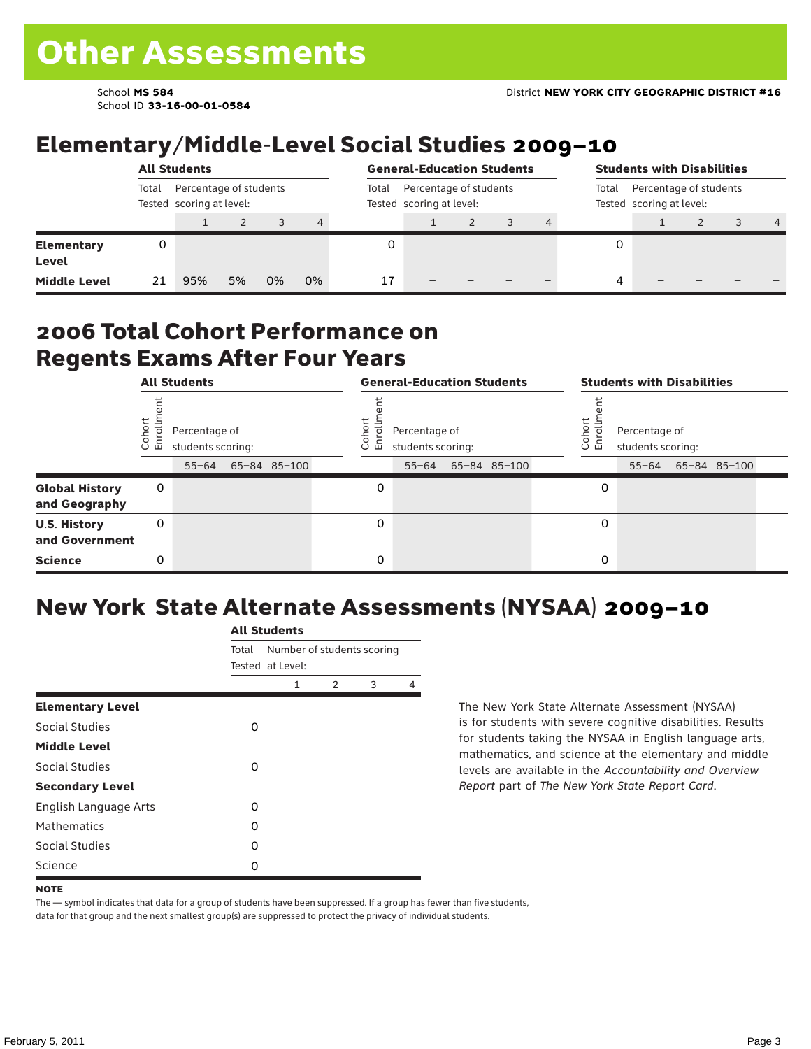School ID **33-16-00-01-0584**

# Elementary/Middle-Level Social Studies 2009–10

|                                   |                                                             | <b>All Students</b> |    |    |    |       | <b>General-Education Students</b>                  |                                                             | <b>Students with Disabilities</b> |   |  |  |  |                |  |
|-----------------------------------|-------------------------------------------------------------|---------------------|----|----|----|-------|----------------------------------------------------|-------------------------------------------------------------|-----------------------------------|---|--|--|--|----------------|--|
|                                   | Percentage of students<br>Total<br>Tested scoring at level: |                     |    |    |    | Total | Percentage of students<br>Tested scoring at level: | Percentage of students<br>Total<br>Tested scoring at level: |                                   |   |  |  |  |                |  |
|                                   |                                                             |                     |    |    | 4  |       |                                                    |                                                             |                                   |   |  |  |  | $\overline{4}$ |  |
| <b>Elementary</b><br><b>Level</b> | 0                                                           |                     |    |    |    |       |                                                    |                                                             |                                   | 0 |  |  |  |                |  |
| <b>Middle Level</b>               | 21                                                          | 95%                 | 5% | 0% | 0% | 17    |                                                    |                                                             |                                   | 4 |  |  |  |                |  |

#### 2006 Total Cohort Performance on Regents Exams After Four Years

|                                        | <b>All Students</b><br>Percentage of |                                |  |              |  |                 | <b>General-Education Students</b>               |              | <b>Students with Disabilities</b> |                                    |  |                    |  |  |
|----------------------------------------|--------------------------------------|--------------------------------|--|--------------|--|-----------------|-------------------------------------------------|--------------|-----------------------------------|------------------------------------|--|--------------------|--|--|
|                                        | Cohor<br>Enroll                      | students scoring:<br>$55 - 64$ |  | 65-84 85-100 |  | Coho<br>o.<br>屲 | Percentage of<br>students scoring:<br>$55 - 64$ | 65-84 85-100 | Cohort<br>o.<br>멷                 | Percentage of<br>students scoring: |  | 55-64 65-84 85-100 |  |  |
| <b>Global History</b><br>and Geography | 0                                    |                                |  |              |  | 0               |                                                 |              | 0                                 |                                    |  |                    |  |  |
| <b>U.S. History</b><br>and Government  | 0                                    |                                |  |              |  | 0               |                                                 |              | 0                                 |                                    |  |                    |  |  |
| <b>Science</b>                         | 0                                    |                                |  |              |  | 0               |                                                 |              | 0                                 |                                    |  |                    |  |  |

# New York State Alternate Assessments (NYSAA) 2009–10

|                         | <b>All Students</b> |                  |                            |   |   |  |  |  |  |  |
|-------------------------|---------------------|------------------|----------------------------|---|---|--|--|--|--|--|
|                         | Total               | Tested at Level: | Number of students scoring |   |   |  |  |  |  |  |
|                         |                     | 1                | $\mathcal{P}$              | 3 | 4 |  |  |  |  |  |
| <b>Elementary Level</b> |                     |                  |                            |   |   |  |  |  |  |  |
| Social Studies          | 0                   |                  |                            |   |   |  |  |  |  |  |
| <b>Middle Level</b>     |                     |                  |                            |   |   |  |  |  |  |  |
| Social Studies          | 0                   |                  |                            |   |   |  |  |  |  |  |
| <b>Secondary Level</b>  |                     |                  |                            |   |   |  |  |  |  |  |
| English Language Arts   | O                   |                  |                            |   |   |  |  |  |  |  |
| <b>Mathematics</b>      | O                   |                  |                            |   |   |  |  |  |  |  |
| Social Studies          | O                   |                  |                            |   |   |  |  |  |  |  |
| Science                 | 0                   |                  |                            |   |   |  |  |  |  |  |

The New York State Alternate Assessment (NYSAA) is for students with severe cognitive disabilities. Results for students taking the NYSAA in English language arts, mathematics, and science at the elementary and middle levels are available in the *Accountability and Overview Report* part of *The New York State Report Card*.

The — symbol indicates that data for a group of students have been suppressed. If a group has fewer than five students, data for that group and the next smallest group(s) are suppressed to protect the privacy of individual students.

**NOTE**